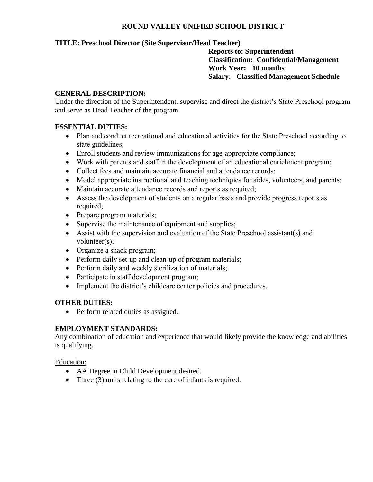## **ROUND VALLEY UNIFIED SCHOOL DISTRICT**

## **TITLE: Preschool Director (Site Supervisor/Head Teacher)**

**Reports to: Superintendent Classification: Confidential/Management Work Year: 10 months Salary: Classified Management Schedule**

#### **GENERAL DESCRIPTION:**

Under the direction of the Superintendent, supervise and direct the district's State Preschool program and serve as Head Teacher of the program.

#### **ESSENTIAL DUTIES:**

- Plan and conduct recreational and educational activities for the State Preschool according to state guidelines;
- Enroll students and review immunizations for age-appropriate compliance;
- Work with parents and staff in the development of an educational enrichment program;
- Collect fees and maintain accurate financial and attendance records;
- Model appropriate instructional and teaching techniques for aides, volunteers, and parents;
- Maintain accurate attendance records and reports as required;
- Assess the development of students on a regular basis and provide progress reports as required;
- Prepare program materials;
- Supervise the maintenance of equipment and supplies;
- Assist with the supervision and evaluation of the State Preschool assistant(s) and volunteer(s);
- Organize a snack program;
- Perform daily set-up and clean-up of program materials;
- Perform daily and weekly sterilization of materials;
- Participate in staff development program;
- Implement the district's childcare center policies and procedures.

#### **OTHER DUTIES:**

• Perform related duties as assigned.

#### **EMPLOYMENT STANDARDS:**

Any combination of education and experience that would likely provide the knowledge and abilities is qualifying.

#### Education:

- AA Degree in Child Development desired.
- Three (3) units relating to the care of infants is required.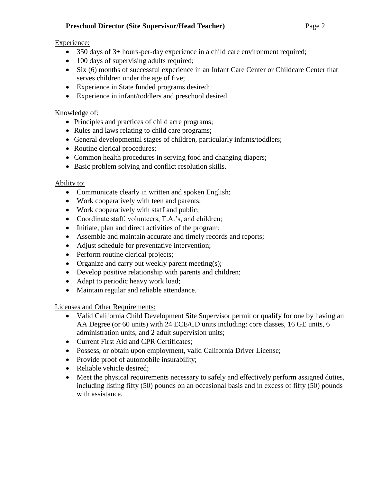# **Preschool Director (Site Supervisor/Head Teacher)** Page 2

# Experience:

- 350 days of 3+ hours-per-day experience in a child care environment required;
- 100 days of supervising adults required;
- Six (6) months of successful experience in an Infant Care Center or Childcare Center that serves children under the age of five;
- Experience in State funded programs desired;
- Experience in infant/toddlers and preschool desired.

# Knowledge of:

- Principles and practices of child acre programs;
- Rules and laws relating to child care programs;
- General developmental stages of children, particularly infants/toddlers;
- Routine clerical procedures;
- Common health procedures in serving food and changing diapers;
- Basic problem solving and conflict resolution skills.

# Ability to:

- Communicate clearly in written and spoken English;
- Work cooperatively with teen and parents;
- Work cooperatively with staff and public;
- Coordinate staff, volunteers, T.A.'s, and children;
- Initiate, plan and direct activities of the program;
- Assemble and maintain accurate and timely records and reports;
- Adjust schedule for preventative intervention;
- Perform routine clerical projects;
- Organize and carry out weekly parent meeting(s);
- Develop positive relationship with parents and children;
- Adapt to periodic heavy work load;
- Maintain regular and reliable attendance.

Licenses and Other Requirements:

- Valid California Child Development Site Supervisor permit or qualify for one by having an AA Degree (or 60 units) with 24 ECE/CD units including: core classes, 16 GE units, 6 administration units, and 2 adult supervision units;
- Current First Aid and CPR Certificates;
- Possess, or obtain upon employment, valid California Driver License;
- Provide proof of automobile insurability;
- Reliable vehicle desired;
- Meet the physical requirements necessary to safely and effectively perform assigned duties, including listing fifty (50) pounds on an occasional basis and in excess of fifty (50) pounds with assistance.